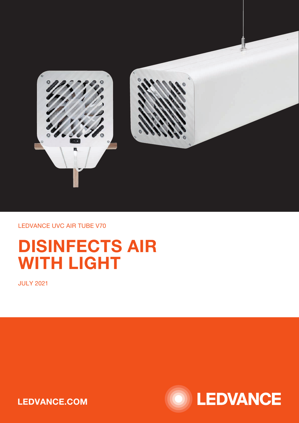

### LEDVANCE UVC AIR TUBE V70

# DISINFECTS AIR WITH LIGHT

JULY 2021



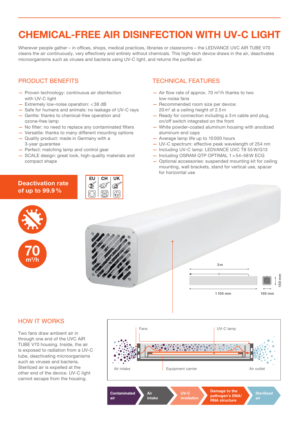### CHEMICAL-FREE AIR DISINFECTION WITH UV-C LIGHT

Wherever people gather – in offices, shops, medical practices, libraries or classrooms – the LEDVANCE UVC AIR TUBE V70 cleans the air continuously, very effectively and entirely without chemicals. This high-tech device draws in the air, deactivates microorganisms such as viruses and bacteria using UV-C light, and returns the purified air.

#### PRODUCT BENEFITS

- Proven technology: continuous air disinfection with UV-C light
- Extremely low-noise operation: < 38 dB
- Safe for humans and animals: no leakage of UV-C rays
- Gentle: thanks to chemical-free operation and ozone-free lamp
- No filter: no need to replace any contaminated filters
- Versatile: thanks to many different mounting options — Quality product: made in Germany with a 3-year guarantee
- Perfect: matching lamp and control gear
- SCALE design: great look, high-quality materials and compact shape

#### Deactivation rate of up to 99.9%



#### TECHNICAL FEATURES

- $-$  Air flow rate of approx. 70 m<sup>3</sup>/h thanks to two low-noise fans
- Recommended room size per device: 20 m<sup>2</sup> at a ceiling height of 2.5 m
- Ready for connection including a 3 m cable and plug, on/off switch integrated on the front
- White powder-coated aluminum housing with anodized aluminum end caps
- Average lamp life up to 10 000 hours
- UV-C spectrum: effective peak wavelength of 254 nm
- Including UV-C lamp: LEDVANCE UVC T8 55 W/G13
- Including OSRAM QTP OPTIMAL 1 × 54–58 W ECG
- Optional accessories: suspended mounting kit for ceiling mounting, wall brackets, stand for vertical use, spacer for horizontal use



#### HOW IT WORKS

 $\mathsf{m}^3$ /h 70

Two fans draw ambient air in through one end of the UVC AIR TUBE V70 housing. Inside, the air is exposed to radiation from a UV-C tube, deactivating microorganisms such as viruses and bacteria. Sterilized air is expelled at the other end of the device. UV-C light cannot escape from the housing.

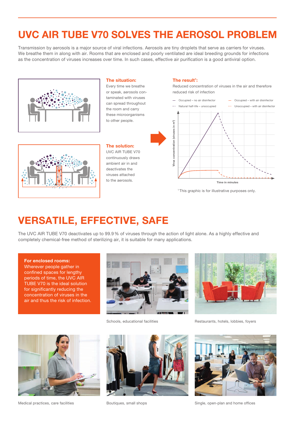### UVC AIR TUBE V70 SOLVES THE AEROSOL PROBLEM

Transmission by aerosols is a major source of viral infections. Aerosols are tiny droplets that serve as carriers for viruses. We breathe them in along with air. Rooms that are enclosed and poorly ventilated are ideal breeding grounds for infections as the concentration of viruses increases over time. In such cases, effective air purification is a good antiviral option.



The situation: Every time we breathe or speak, aerosols contaminated with viruses can spread throughout the room and carry these microorganisms to other people.

#### The solution:

UVC AIR TUBE V70 continuously draws ambient air in and deactivates the viruses attached to the aerosols.

#### The result<sup>1</sup>:

Reduced concentration of viruses in the air and therefore reduced risk of infection



<sup>&</sup>lt;sup>1</sup> This graphic is for illustrative purposes only.

# VERSATILE, EFFECTIVE, SAFE

The UVC AIR TUBE V70 deactivates up to 99.9% of viruses through the action of light alone. As a highly effective and completely chemical-free method of sterilizing air, it is suitable for many applications.

For enclosed rooms: Wherever people gather in confined spaces for lengthy periods of time, the UVC AIR TUBE V70 is the ideal solution for significantly reducing the concentration of viruses in the air and thus the risk of infection.





Schools, educational facilities Restaurants, hotels, lobbies, foyers



Medical practices, care facilities **Boutiques, small shops** Single, open-plan and home offices Medical practices



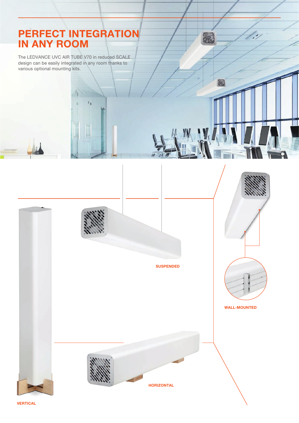### PERFECT INTEGRATION IN ANY ROOM

The LEDVANCE UVC AIR TUBE V70 in reduced SCALE design can be easily integrated in any room thanks to various optional mounting kits.

 $L_1$ 



an dhe

Uffin

VERTICAL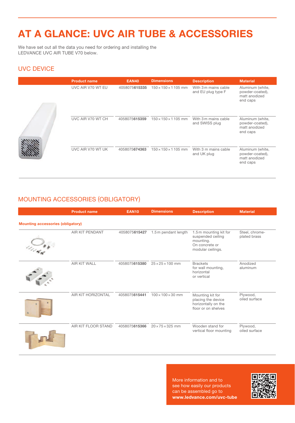## AT A GLANCE: UVC AIR TUBE & ACCESSORIES

We have set out all the data you need for ordering and installing the LEDVANCE UVC AIR TUBE V70 below.

#### UVC DEVICE

| <b>Product name</b> | <b>EAN40</b>  | <b>Dimensions</b>               | <b>Description</b>                         | <b>Material</b>                                                  |
|---------------------|---------------|---------------------------------|--------------------------------------------|------------------------------------------------------------------|
| UVC AIR V70 WT EU   | 4058075615335 | $150 \times 150 \times 1105$ mm | With 3 m mains cable<br>and EU plug type F | Aluminum (white,<br>powder-coated),<br>matt anodized<br>end caps |
| UVC AIR V70 WT CH   | 4058075615359 | $150 \times 150 \times 1105$ mm | With 3 m mains cable<br>and SWISS plug     | Aluminum (white,<br>powder-coated),<br>matt anodized<br>end caps |
| UVC AIR V70 WT UK   | 4058075674363 | $150 \times 150 \times 1105$ mm | With 3 m mains cable<br>and UK plug        | Aluminum (white,<br>powder-coated),<br>matt anodized<br>end caps |

### MOUNTING ACCESSORIES (OBLIGATORY)

|                                          | <b>Product name</b> | <b>EAN10</b>  | <b>Dimensions</b>             | <b>Description</b>                                                                              | <b>Material</b>                |  |  |  |
|------------------------------------------|---------------------|---------------|-------------------------------|-------------------------------------------------------------------------------------------------|--------------------------------|--|--|--|
| <b>Mounting accessories (obligatory)</b> |                     |               |                               |                                                                                                 |                                |  |  |  |
|                                          | AIR KIT PENDANT     | 4058075615427 | 1.5 m pendant length          | 1.5 m mounting kit for<br>suspended ceiling<br>mounting.<br>On concrete or<br>modular ceilings. | Steel, chrome-<br>plated brass |  |  |  |
|                                          | AIR KIT WALL        | 4058075615380 | $25 \times 25 \times 100$ mm  | <b>Brackets</b><br>for wall mounting,<br>horizontal<br>or vertical                              | Anodized<br>aluminum           |  |  |  |
|                                          | AIR KIT HORIZONTAL  | 4058075615441 | $100 \times 100 \times 30$ mm | Mounting kit for<br>placing the device<br>horizontally on the<br>floor or on shelves            | Plywood,<br>oiled surface      |  |  |  |
|                                          | AIR KIT FLOOR STAND | 4058075615366 | $20 \times 75 \times 325$ mm  | Wooden stand for<br>vertical floor mounting                                                     | Plywood,<br>oiled surface      |  |  |  |

More information and to see how easily our products can be assembled go to www.ledvance.com/uvc-tube